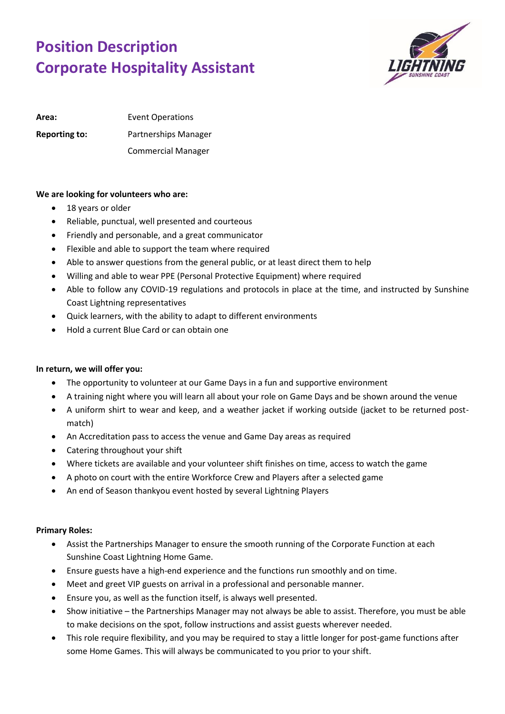## **Position Description Corporate Hospitality Assistant**



Area: Event Operations **Reporting to:** Partnerships Manager Commercial Manager

## **We are looking for volunteers who are:**

- 18 years or older
- Reliable, punctual, well presented and courteous
- Friendly and personable, and a great communicator
- Flexible and able to support the team where required
- Able to answer questions from the general public, or at least direct them to help
- Willing and able to wear PPE (Personal Protective Equipment) where required
- Able to follow any COVID-19 regulations and protocols in place at the time, and instructed by Sunshine Coast Lightning representatives
- Quick learners, with the ability to adapt to different environments
- Hold a current Blue Card or can obtain one

## **In return, we will offer you:**

- The opportunity to volunteer at our Game Days in a fun and supportive environment
- A training night where you will learn all about your role on Game Days and be shown around the venue
- A uniform shirt to wear and keep, and a weather jacket if working outside (jacket to be returned postmatch)
- An Accreditation pass to access the venue and Game Day areas as required
- Catering throughout your shift
- Where tickets are available and your volunteer shift finishes on time, access to watch the game
- A photo on court with the entire Workforce Crew and Players after a selected game
- An end of Season thankyou event hosted by several Lightning Players

## **Primary Roles:**

- Assist the Partnerships Manager to ensure the smooth running of the Corporate Function at each Sunshine Coast Lightning Home Game.
- Ensure guests have a high-end experience and the functions run smoothly and on time.
- Meet and greet VIP guests on arrival in a professional and personable manner.
- Ensure you, as well as the function itself, is always well presented.
- Show initiative the Partnerships Manager may not always be able to assist. Therefore, you must be able to make decisions on the spot, follow instructions and assist guests wherever needed.
- This role require flexibility, and you may be required to stay a little longer for post-game functions after some Home Games. This will always be communicated to you prior to your shift.